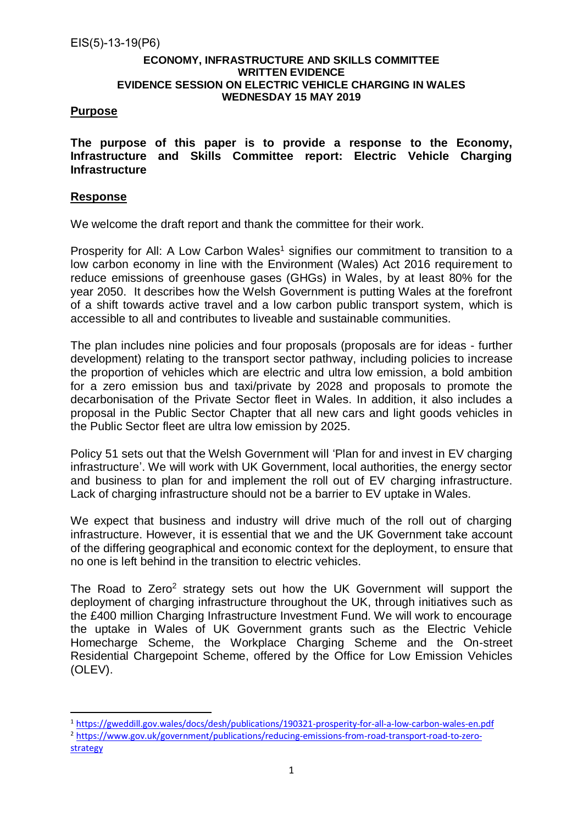# **ECONOMY, INFRASTRUCTURE AND SKILLS COMMITTEE WRITTEN EVIDENCE EVIDENCE SESSION ON ELECTRIC VEHICLE CHARGING IN WALES WEDNESDAY 15 MAY 2019**

# **Purpose**

**The purpose of this paper is to provide a response to the Economy, Infrastructure and Skills Committee report: Electric Vehicle Charging Infrastructure**

# **Response**

We welcome the draft report and thank the committee for their work.

Prosperity for All: A Low Carbon Wales<sup>1</sup> signifies our commitment to transition to a low carbon economy in line with the Environment (Wales) Act 2016 requirement to reduce emissions of greenhouse gases (GHGs) in Wales, by at least 80% for the year 2050. It describes how the Welsh Government is putting Wales at the forefront of a shift towards active travel and a low carbon public transport system, which is accessible to all and contributes to liveable and sustainable communities.

The plan includes nine policies and four proposals (proposals are for ideas - further development) relating to the transport sector pathway, including policies to increase the proportion of vehicles which are electric and ultra low emission, a bold ambition for a zero emission bus and taxi/private by 2028 and proposals to promote the decarbonisation of the Private Sector fleet in Wales. In addition, it also includes a proposal in the Public Sector Chapter that all new cars and light goods vehicles in the Public Sector fleet are ultra low emission by 2025.

Policy 51 sets out that the Welsh Government will 'Plan for and invest in EV charging infrastructure'. We will work with UK Government, local authorities, the energy sector and business to plan for and implement the roll out of EV charging infrastructure. Lack of charging infrastructure should not be a barrier to EV uptake in Wales.

We expect that business and industry will drive much of the roll out of charging infrastructure. However, it is essential that we and the UK Government take account of the differing geographical and economic context for the deployment, to ensure that no one is left behind in the transition to electric vehicles.

The Road to Zero<sup>2</sup> strategy sets out how the UK Government will support the deployment of charging infrastructure throughout the UK, through initiatives such as the £400 million Charging Infrastructure Investment Fund. We will work to encourage the uptake in Wales of UK Government grants such as the Electric Vehicle Homecharge Scheme, the Workplace Charging Scheme and the On-street Residential Chargepoint Scheme, offered by the Office for Low Emission Vehicles (OLEV).

<sup>1</sup> <https://gweddill.gov.wales/docs/desh/publications/190321-prosperity-for-all-a-low-carbon-wales-en.pdf> <sup>2</sup> [https://www.gov.uk/government/publications/reducing-emissions-from-road-transport-road-to-zero](https://www.gov.uk/government/publications/reducing-emissions-from-road-transport-road-to-zero-strategy)[strategy](https://www.gov.uk/government/publications/reducing-emissions-from-road-transport-road-to-zero-strategy)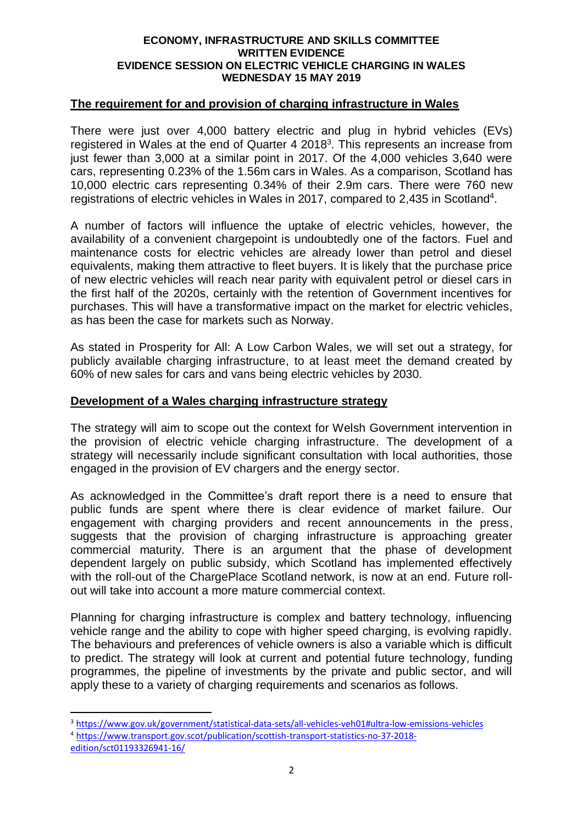### **ECONOMY, INFRASTRUCTURE AND SKILLS COMMITTEE WRITTEN EVIDENCE EVIDENCE SESSION ON ELECTRIC VEHICLE CHARGING IN WALES WEDNESDAY 15 MAY 2019**

### **The requirement for and provision of charging infrastructure in Wales**

There were just over 4,000 battery electric and plug in hybrid vehicles (EVs) registered in Wales at the end of Quarter 4 2018<sup>3</sup>. This represents an increase from just fewer than 3,000 at a similar point in 2017. Of the 4,000 vehicles 3,640 were cars, representing 0.23% of the 1.56m cars in Wales. As a comparison, Scotland has 10,000 electric cars representing 0.34% of their 2.9m cars. There were 760 new registrations of electric vehicles in Wales in 2017, compared to 2,435 in Scotland<sup>4</sup>.

A number of factors will influence the uptake of electric vehicles, however, the availability of a convenient chargepoint is undoubtedly one of the factors. Fuel and maintenance costs for electric vehicles are already lower than petrol and diesel equivalents, making them attractive to fleet buyers. It is likely that the purchase price of new electric vehicles will reach near parity with equivalent petrol or diesel cars in the first half of the 2020s, certainly with the retention of Government incentives for purchases. This will have a transformative impact on the market for electric vehicles, as has been the case for markets such as Norway.

As stated in Prosperity for All: A Low Carbon Wales, we will set out a strategy, for publicly available charging infrastructure, to at least meet the demand created by 60% of new sales for cars and vans being electric vehicles by 2030.

# **Development of a Wales charging infrastructure strategy**

The strategy will aim to scope out the context for Welsh Government intervention in the provision of electric vehicle charging infrastructure. The development of a strategy will necessarily include significant consultation with local authorities, those engaged in the provision of EV chargers and the energy sector.

As acknowledged in the Committee's draft report there is a need to ensure that public funds are spent where there is clear evidence of market failure. Our engagement with charging providers and recent announcements in the press, suggests that the provision of charging infrastructure is approaching greater commercial maturity. There is an argument that the phase of development dependent largely on public subsidy, which Scotland has implemented effectively with the roll-out of the ChargePlace Scotland network, is now at an end. Future rollout will take into account a more mature commercial context.

Planning for charging infrastructure is complex and battery technology, influencing vehicle range and the ability to cope with higher speed charging, is evolving rapidly. The behaviours and preferences of vehicle owners is also a variable which is difficult to predict. The strategy will look at current and potential future technology, funding programmes, the pipeline of investments by the private and public sector, and will apply these to a variety of charging requirements and scenarios as follows.

1

<sup>3</sup> <https://www.gov.uk/government/statistical-data-sets/all-vehicles-veh01#ultra-low-emissions-vehicles> <sup>4</sup> [https://www.transport.gov.scot/publication/scottish-transport-statistics-no-37-2018-](https://www.transport.gov.scot/publication/scottish-transport-statistics-no-37-2018-edition/sct01193326941-16/)

[edition/sct01193326941-16/](https://www.transport.gov.scot/publication/scottish-transport-statistics-no-37-2018-edition/sct01193326941-16/)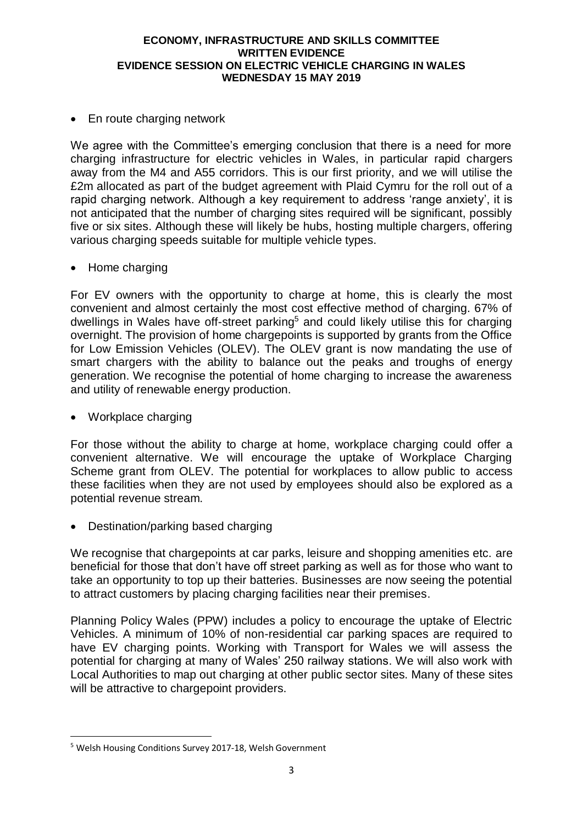### **ECONOMY, INFRASTRUCTURE AND SKILLS COMMITTEE WRITTEN EVIDENCE EVIDENCE SESSION ON ELECTRIC VEHICLE CHARGING IN WALES WEDNESDAY 15 MAY 2019**

• En route charging network

We agree with the Committee's emerging conclusion that there is a need for more charging infrastructure for electric vehicles in Wales, in particular rapid chargers away from the M4 and A55 corridors. This is our first priority, and we will utilise the £2m allocated as part of the budget agreement with Plaid Cymru for the roll out of a rapid charging network. Although a key requirement to address 'range anxiety', it is not anticipated that the number of charging sites required will be significant, possibly five or six sites. Although these will likely be hubs, hosting multiple chargers, offering various charging speeds suitable for multiple vehicle types.

• Home charging

For EV owners with the opportunity to charge at home, this is clearly the most convenient and almost certainly the most cost effective method of charging. 67% of dwellings in Wales have off-street parking<sup>5</sup> and could likely utilise this for charging overnight. The provision of home chargepoints is supported by grants from the Office for Low Emission Vehicles (OLEV). The OLEV grant is now mandating the use of smart chargers with the ability to balance out the peaks and troughs of energy generation. We recognise the potential of home charging to increase the awareness and utility of renewable energy production.

• Workplace charging

-

For those without the ability to charge at home, workplace charging could offer a convenient alternative. We will encourage the uptake of Workplace Charging Scheme grant from OLEV. The potential for workplaces to allow public to access these facilities when they are not used by employees should also be explored as a potential revenue stream.

Destination/parking based charging

We recognise that chargepoints at car parks, leisure and shopping amenities etc. are beneficial for those that don't have off street parking as well as for those who want to take an opportunity to top up their batteries. Businesses are now seeing the potential to attract customers by placing charging facilities near their premises.

Planning Policy Wales (PPW) includes a policy to encourage the uptake of Electric Vehicles. A minimum of 10% of non-residential car parking spaces are required to have EV charging points. Working with Transport for Wales we will assess the potential for charging at many of Wales' 250 railway stations. We will also work with Local Authorities to map out charging at other public sector sites. Many of these sites will be attractive to chargepoint providers.

<sup>5</sup> Welsh Housing Conditions Survey 2017-18, Welsh Government